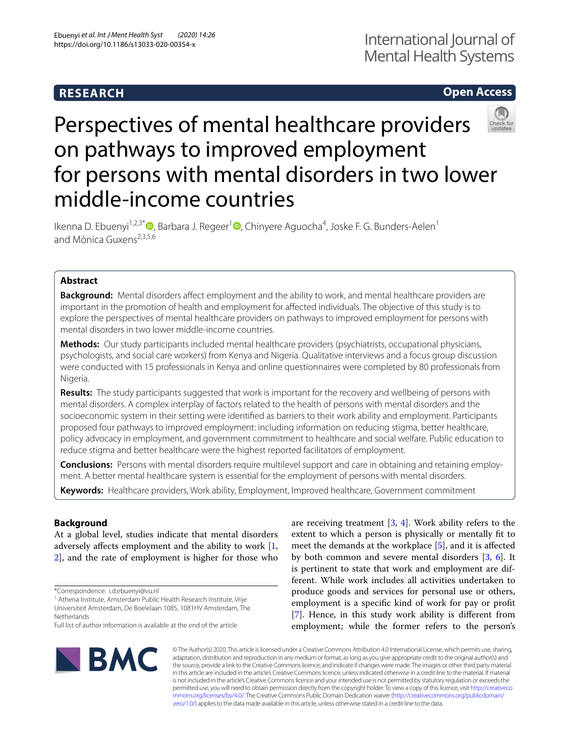## **RESEARCH**

### **Open Access**



# Perspectives of mental healthcare providers on pathways to improved employment for persons with mental disorders in two lower middle-income countries

Ikenna D. Ebuenyi<sup>1,2,3\*</sup> <sup>D</sup>[,](https://orcid.org/0000-0002-9044-9367) Barbara J. Regeer<sup>1</sup> <sup>D</sup>, Chinyere Aguocha<sup>4</sup>, Joske F. G. Bunders-Aelen<sup>1</sup> and Mònica Guxens2,3,5,6

### **Abstract**

**Background:** Mental disorders afect employment and the ability to work, and mental healthcare providers are important in the promotion of health and employment for afected individuals. The objective of this study is to explore the perspectives of mental healthcare providers on pathways to improved employment for persons with mental disorders in two lower middle-income countries.

**Methods:** Our study participants included mental healthcare providers (psychiatrists, occupational physicians, psychologists, and social care workers) from Kenya and Nigeria. Qualitative interviews and a focus group discussion were conducted with 15 professionals in Kenya and online questionnaires were completed by 80 professionals from Nigeria.

**Results:** The study participants suggested that work is important for the recovery and wellbeing of persons with mental disorders. A complex interplay of factors related to the health of persons with mental disorders and the socioeconomic system in their setting were identifed as barriers to their work ability and employment. Participants proposed four pathways to improved employment: including information on reducing stigma, better healthcare, policy advocacy in employment, and government commitment to healthcare and social welfare. Public education to reduce stigma and better healthcare were the highest reported facilitators of employment.

**Conclusions:** Persons with mental disorders require multilevel support and care in obtaining and retaining employment. A better mental healthcare system is essential for the employment of persons with mental disorders.

**Keywords:** Healthcare providers, Work ability, Employment, Improved healthcare, Government commitment

### **Background**

At a global level, studies indicate that mental disorders adversely afects employment and the ability to work [\[1](#page-10-0), [2\]](#page-10-1), and the rate of employment is higher for those who

\*Correspondence: i.d.ebuenyi@vu.nl

<sup>1</sup> Athena Institute, Amsterdam Public Health Research Institute, Vrije Universiteit Amsterdam, De Boelelaan 1085, 1081HV Amsterdam, The **Netherlands** 

are receiving treatment [\[3](#page-10-2), [4\]](#page-11-0). Work ability refers to the extent to which a person is physically or mentally ft to meet the demands at the workplace [\[5](#page-11-1)], and it is afected by both common and severe mental disorders [\[3](#page-10-2), [6](#page-11-2)]. It is pertinent to state that work and employment are different. While work includes all activities undertaken to produce goods and services for personal use or others, employment is a specifc kind of work for pay or proft [[7\]](#page-11-3). Hence, in this study work ability is diferent from employment; while the former refers to the person's



© The Author(s) 2020. This article is licensed under a Creative Commons Attribution 4.0 International License, which permits use, sharing, adaptation, distribution and reproduction in any medium or format, as long as you give appropriate credit to the original author(s) and the source, provide a link to the Creative Commons licence, and indicate if changes were made. The images or other third party material in this article are included in the article's Creative Commons licence, unless indicated otherwise in a credit line to the material. If material is not included in the article's Creative Commons licence and your intended use is not permitted by statutory regulation or exceeds the permitted use, you will need to obtain permission directly from the copyright holder. To view a copy of this licence, visit [http://creativeco](http://creativecommons.org/licenses/by/4.0/) [mmons.org/licenses/by/4.0/.](http://creativecommons.org/licenses/by/4.0/) The Creative Commons Public Domain Dedication waiver ([http://creativecommons.org/publicdomain/](http://creativecommons.org/publicdomain/zero/1.0/) [zero/1.0/\)](http://creativecommons.org/publicdomain/zero/1.0/) applies to the data made available in this article, unless otherwise stated in a credit line to the data.

Full list of author information is available at the end of the article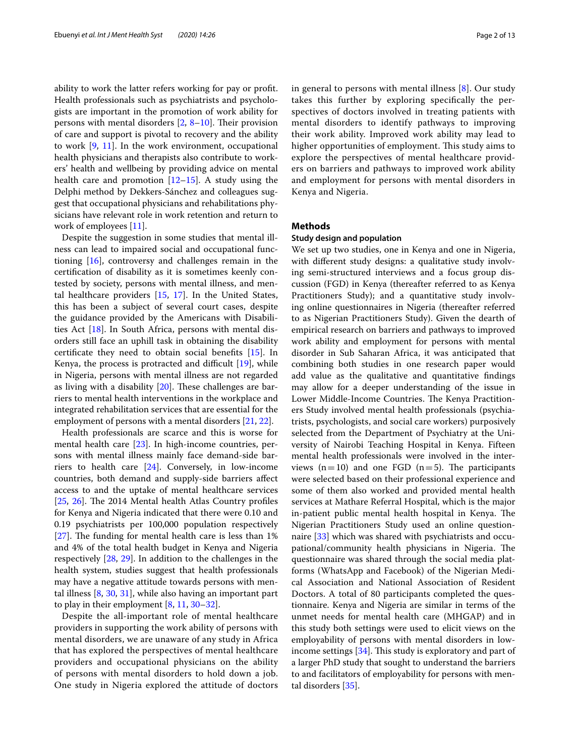ability to work the latter refers working for pay or proft. Health professionals such as psychiatrists and psychologists are important in the promotion of work ability for persons with mental disorders  $[2, 8-10]$  $[2, 8-10]$  $[2, 8-10]$  $[2, 8-10]$ . Their provision of care and support is pivotal to recovery and the ability to work [\[9](#page-11-6), [11\]](#page-11-7). In the work environment, occupational health physicians and therapists also contribute to workers' health and wellbeing by providing advice on mental health care and promotion  $[12–15]$  $[12–15]$  $[12–15]$  $[12–15]$ . A study using the Delphi method by Dekkers-Sánchez and colleagues suggest that occupational physicians and rehabilitations physicians have relevant role in work retention and return to work of employees [[11](#page-11-7)].

Despite the suggestion in some studies that mental illness can lead to impaired social and occupational functioning [[16](#page-11-10)], controversy and challenges remain in the certifcation of disability as it is sometimes keenly contested by society, persons with mental illness, and mental healthcare providers  $[15, 17]$  $[15, 17]$  $[15, 17]$  $[15, 17]$ . In the United States, this has been a subject of several court cases, despite the guidance provided by the Americans with Disabilities Act [[18\]](#page-11-12). In South Africa, persons with mental disorders still face an uphill task in obtaining the disability certifcate they need to obtain social benefts [[15\]](#page-11-9). In Kenya, the process is protracted and difficult  $[19]$ , while in Nigeria, persons with mental illness are not regarded as living with a disability  $[20]$  $[20]$ . These challenges are barriers to mental health interventions in the workplace and integrated rehabilitation services that are essential for the employment of persons with a mental disorders [\[21](#page-11-15), [22\]](#page-11-16).

Health professionals are scarce and this is worse for mental health care [\[23\]](#page-11-17). In high-income countries, persons with mental illness mainly face demand-side barriers to health care [\[24](#page-11-18)]. Conversely, in low-income countries, both demand and supply-side barriers afect access to and the uptake of mental healthcare services  $[25, 26]$  $[25, 26]$  $[25, 26]$  $[25, 26]$  $[25, 26]$ . The 2014 Mental health Atlas Country profiles for Kenya and Nigeria indicated that there were 0.10 and 0.19 psychiatrists per 100,000 population respectively [[27\]](#page-11-21). The funding for mental health care is less than  $1\%$ and 4% of the total health budget in Kenya and Nigeria respectively [\[28](#page-11-22), [29](#page-11-23)]. In addition to the challenges in the health system, studies suggest that health professionals may have a negative attitude towards persons with mental illness [[8,](#page-11-4) [30,](#page-11-24) [31](#page-11-25)], while also having an important part to play in their employment [\[8](#page-11-4), [11,](#page-11-7) [30](#page-11-24)[–32\]](#page-11-26).

Despite the all-important role of mental healthcare providers in supporting the work ability of persons with mental disorders, we are unaware of any study in Africa that has explored the perspectives of mental healthcare providers and occupational physicians on the ability of persons with mental disorders to hold down a job. One study in Nigeria explored the attitude of doctors in general to persons with mental illness [\[8](#page-11-4)]. Our study takes this further by exploring specifcally the perspectives of doctors involved in treating patients with mental disorders to identify pathways to improving their work ability. Improved work ability may lead to higher opportunities of employment. This study aims to explore the perspectives of mental healthcare providers on barriers and pathways to improved work ability and employment for persons with mental disorders in Kenya and Nigeria.

### **Methods**

### **Study design and population**

We set up two studies, one in Kenya and one in Nigeria, with diferent study designs: a qualitative study involving semi-structured interviews and a focus group discussion (FGD) in Kenya (thereafter referred to as Kenya Practitioners Study); and a quantitative study involving online questionnaires in Nigeria (thereafter referred to as Nigerian Practitioners Study). Given the dearth of empirical research on barriers and pathways to improved work ability and employment for persons with mental disorder in Sub Saharan Africa, it was anticipated that combining both studies in one research paper would add value as the qualitative and quantitative fndings may allow for a deeper understanding of the issue in Lower Middle-Income Countries. The Kenya Practitioners Study involved mental health professionals (psychiatrists, psychologists, and social care workers) purposively selected from the Department of Psychiatry at the University of Nairobi Teaching Hospital in Kenya. Fifteen mental health professionals were involved in the interviews  $(n=10)$  and one FGD  $(n=5)$ . The participants were selected based on their professional experience and some of them also worked and provided mental health services at Mathare Referral Hospital, which is the major in-patient public mental health hospital in Kenya. The Nigerian Practitioners Study used an online questionnaire [\[33](#page-11-27)] which was shared with psychiatrists and occupational/community health physicians in Nigeria. The questionnaire was shared through the social media platforms (WhatsApp and Facebook) of the Nigerian Medical Association and National Association of Resident Doctors. A total of 80 participants completed the questionnaire. Kenya and Nigeria are similar in terms of the unmet needs for mental health care (MHGAP) and in this study both settings were used to elicit views on the employability of persons with mental disorders in low-income settings [\[34](#page-11-28)]. This study is exploratory and part of a larger PhD study that sought to understand the barriers to and facilitators of employability for persons with mental disorders [[35\]](#page-11-29).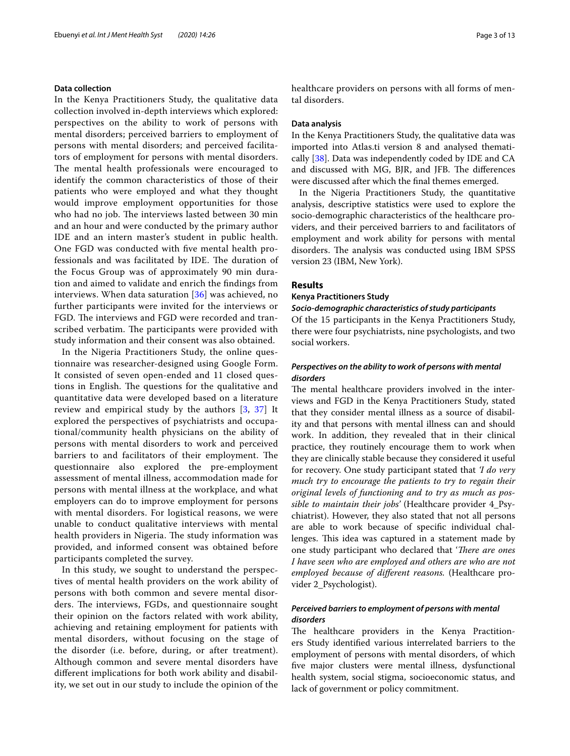### **Data collection**

In the Kenya Practitioners Study, the qualitative data collection involved in-depth interviews which explored: perspectives on the ability to work of persons with mental disorders; perceived barriers to employment of persons with mental disorders; and perceived facilitators of employment for persons with mental disorders. The mental health professionals were encouraged to identify the common characteristics of those of their patients who were employed and what they thought would improve employment opportunities for those who had no job. The interviews lasted between 30 min and an hour and were conducted by the primary author IDE and an intern master's student in public health. One FGD was conducted with fve mental health professionals and was facilitated by IDE. The duration of the Focus Group was of approximately 90 min duration and aimed to validate and enrich the fndings from interviews. When data saturation  $[36]$  $[36]$  was achieved, no further participants were invited for the interviews or FGD. The interviews and FGD were recorded and transcribed verbatim. The participants were provided with study information and their consent was also obtained.

In the Nigeria Practitioners Study, the online questionnaire was researcher-designed using Google Form. It consisted of seven open-ended and 11 closed questions in English. The questions for the qualitative and quantitative data were developed based on a literature review and empirical study by the authors  $[3, 37]$  $[3, 37]$  $[3, 37]$  $[3, 37]$  $[3, 37]$  It explored the perspectives of psychiatrists and occupational/community health physicians on the ability of persons with mental disorders to work and perceived barriers to and facilitators of their employment. The questionnaire also explored the pre-employment assessment of mental illness, accommodation made for persons with mental illness at the workplace, and what employers can do to improve employment for persons with mental disorders. For logistical reasons, we were unable to conduct qualitative interviews with mental health providers in Nigeria. The study information was provided, and informed consent was obtained before participants completed the survey.

In this study, we sought to understand the perspectives of mental health providers on the work ability of persons with both common and severe mental disorders. The interviews, FGDs, and questionnaire sought their opinion on the factors related with work ability, achieving and retaining employment for patients with mental disorders, without focusing on the stage of the disorder (i.e. before, during, or after treatment). Although common and severe mental disorders have diferent implications for both work ability and disability, we set out in our study to include the opinion of the healthcare providers on persons with all forms of mental disorders.

### **Data analysis**

In the Kenya Practitioners Study, the qualitative data was imported into Atlas.ti version 8 and analysed thematically [\[38\]](#page-11-32). Data was independently coded by IDE and CA and discussed with MG, BJR, and JFB. The differences were discussed after which the fnal themes emerged.

In the Nigeria Practitioners Study, the quantitative analysis, descriptive statistics were used to explore the socio-demographic characteristics of the healthcare providers, and their perceived barriers to and facilitators of employment and work ability for persons with mental disorders. The analysis was conducted using IBM SPSS version 23 (IBM, New York).

#### **Results**

### **Kenya Practitioners Study**

*Socio‑demographic characteristics of study participants* Of the 15 participants in the Kenya Practitioners Study,

there were four psychiatrists, nine psychologists, and two social workers.

### *Perspectives on the ability to work of persons with mental disorders*

The mental healthcare providers involved in the interviews and FGD in the Kenya Practitioners Study, stated that they consider mental illness as a source of disability and that persons with mental illness can and should work. In addition, they revealed that in their clinical practice, they routinely encourage them to work when they are clinically stable because they considered it useful for recovery. One study participant stated that *'I do very much try to encourage the patients to try to regain their original levels of functioning and to try as much as possible to maintain their jobs'* (Healthcare provider 4\_Psychiatrist). However, they also stated that not all persons are able to work because of specifc individual challenges. This idea was captured in a statement made by one study participant who declared that '*There are ones I have seen who are employed and others are who are not employed because of diferent reasons.* (Healthcare provider 2\_Psychologist).

### *Perceived barriers to employment of persons with mental disorders*

The healthcare providers in the Kenya Practitioners Study identifed various interrelated barriers to the employment of persons with mental disorders, of which fve major clusters were mental illness, dysfunctional health system, social stigma, socioeconomic status, and lack of government or policy commitment.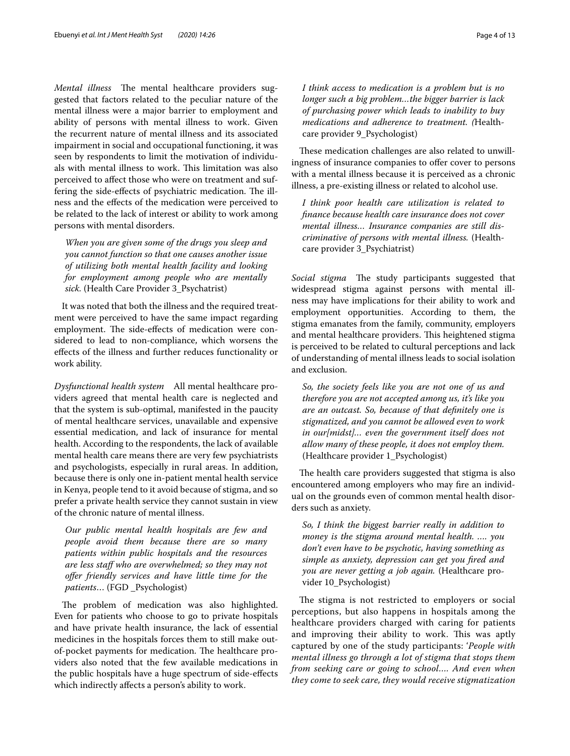*Mental illness* The mental healthcare providers suggested that factors related to the peculiar nature of the mental illness were a major barrier to employment and ability of persons with mental illness to work. Given the recurrent nature of mental illness and its associated impairment in social and occupational functioning, it was seen by respondents to limit the motivation of individuals with mental illness to work. This limitation was also perceived to afect those who were on treatment and suffering the side-effects of psychiatric medication. The illness and the efects of the medication were perceived to be related to the lack of interest or ability to work among persons with mental disorders.

*When you are given some of the drugs you sleep and you cannot function so that one causes another issue of utilizing both mental health facility and looking for employment among people who are mentally sick.* (Health Care Provider 3\_Psychatrist)

It was noted that both the illness and the required treatment were perceived to have the same impact regarding employment. The side-effects of medication were considered to lead to non-compliance, which worsens the efects of the illness and further reduces functionality or work ability.

*Dysfunctional health system* All mental healthcare providers agreed that mental health care is neglected and that the system is sub-optimal, manifested in the paucity of mental healthcare services, unavailable and expensive essential medication, and lack of insurance for mental health. According to the respondents, the lack of available mental health care means there are very few psychiatrists and psychologists, especially in rural areas. In addition, because there is only one in-patient mental health service in Kenya, people tend to it avoid because of stigma, and so prefer a private health service they cannot sustain in view of the chronic nature of mental illness.

*Our public mental health hospitals are few and people avoid them because there are so many patients within public hospitals and the resources are less staf who are overwhelmed; so they may not ofer friendly services and have little time for the patients*… (FGD \_Psychologist)

The problem of medication was also highlighted. Even for patients who choose to go to private hospitals and have private health insurance, the lack of essential medicines in the hospitals forces them to still make outof-pocket payments for medication. The healthcare providers also noted that the few available medications in the public hospitals have a huge spectrum of side-efects which indirectly afects a person's ability to work.

*I think access to medication is a problem but is no longer such a big problem…the bigger barrier is lack of purchasing power which leads to inability to buy medications and adherence to treatment. (*Healthcare provider 9\_Psychologist)

These medication challenges are also related to unwillingness of insurance companies to offer cover to persons with a mental illness because it is perceived as a chronic illness, a pre-existing illness or related to alcohol use.

*I think poor health care utilization is related to fnance because health care insurance does not cover mental illness… Insurance companies are still discriminative of persons with mental illness.* (Healthcare provider 3\_Psychiatrist)

*Social stigma* The study participants suggested that widespread stigma against persons with mental illness may have implications for their ability to work and employment opportunities. According to them, the stigma emanates from the family, community, employers and mental healthcare providers. This heightened stigma is perceived to be related to cultural perceptions and lack of understanding of mental illness leads to social isolation and exclusion.

*So, the society feels like you are not one of us and therefore you are not accepted among us, it's like you are an outcast. So, because of that defnitely one is stigmatized, and you cannot be allowed even to work in our[midst]… even the government itself does not allow many of these people, it does not employ them.* (Healthcare provider 1\_Psychologist)

The health care providers suggested that stigma is also encountered among employers who may fre an individual on the grounds even of common mental health disorders such as anxiety.

*So, I think the biggest barrier really in addition to money is the stigma around mental health. …. you don't even have to be psychotic, having something as simple as anxiety, depression can get you fred and you are never getting a job again.* (Healthcare provider 10\_Psychologist)

The stigma is not restricted to employers or social perceptions, but also happens in hospitals among the healthcare providers charged with caring for patients and improving their ability to work. This was aptly captured by one of the study participants: '*People with mental illness go through a lot of stigma that stops them from seeking care or going to school…. And even when they come to seek care, they would receive stigmatization*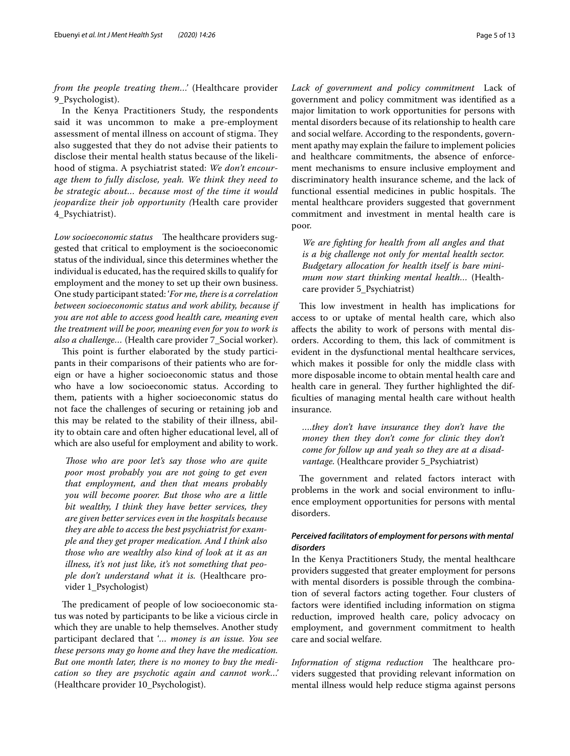*from the people treating them…'* (Healthcare provider 9\_Psychologist).

In the Kenya Practitioners Study, the respondents said it was uncommon to make a pre-employment assessment of mental illness on account of stigma. They also suggested that they do not advise their patients to disclose their mental health status because of the likelihood of stigma. A psychiatrist stated: *We don't encourage them to fully disclose, yeah. We think they need to be strategic about… because most of the time it would jeopardize their job opportunity (*Health care provider 4\_Psychiatrist).

*Low socioeconomic status* The healthcare providers suggested that critical to employment is the socioeconomic status of the individual, since this determines whether the individual is educated, has the required skills to qualify for employment and the money to set up their own business. One study participant stated: '*For me, there is a correlation between socioeconomic status and work ability, because if you are not able to access good health care, meaning even the treatment will be poor, meaning even for you to work is also a challenge…* (Health care provider 7\_Social worker).

This point is further elaborated by the study participants in their comparisons of their patients who are foreign or have a higher socioeconomic status and those who have a low socioeconomic status. According to them, patients with a higher socioeconomic status do not face the challenges of securing or retaining job and this may be related to the stability of their illness, ability to obtain care and often higher educational level, all of which are also useful for employment and ability to work.

*Those who are poor let's say those who are quite poor most probably you are not going to get even that employment, and then that means probably you will become poorer. But those who are a little bit wealthy, I think they have better services, they are given better services even in the hospitals because they are able to access the best psychiatrist for example and they get proper medication. And I think also those who are wealthy also kind of look at it as an illness, it's not just like, it's not something that people don't understand what it is.* (Healthcare provider 1\_Psychologist)

The predicament of people of low socioeconomic status was noted by participants to be like a vicious circle in which they are unable to help themselves. Another study participant declared that '*… money is an issue. You see these persons may go home and they have the medication. But one month later, there is no money to buy the medication so they are psychotic again and cannot work…'* (Healthcare provider 10\_Psychologist).

*Lack of government and policy commitment* Lack of government and policy commitment was identifed as a major limitation to work opportunities for persons with mental disorders because of its relationship to health care and social welfare. According to the respondents, government apathy may explain the failure to implement policies and healthcare commitments, the absence of enforcement mechanisms to ensure inclusive employment and discriminatory health insurance scheme, and the lack of functional essential medicines in public hospitals. The mental healthcare providers suggested that government commitment and investment in mental health care is poor.

*We are fghting for health from all angles and that is a big challenge not only for mental health sector. Budgetary allocation for health itself is bare minimum now start thinking mental health…* (Healthcare provider 5\_Psychiatrist)

This low investment in health has implications for access to or uptake of mental health care, which also afects the ability to work of persons with mental disorders. According to them, this lack of commitment is evident in the dysfunctional mental healthcare services, which makes it possible for only the middle class with more disposable income to obtain mental health care and health care in general. They further highlighted the diffculties of managing mental health care without health insurance.

*….they don't have insurance they don't have the money then they don't come for clinic they don't come for follow up and yeah so they are at a disadvantage.* (Healthcare provider 5\_Psychiatrist)

The government and related factors interact with problems in the work and social environment to infuence employment opportunities for persons with mental disorders.

### *Perceived facilitators of employment for persons with mental disorders*

In the Kenya Practitioners Study, the mental healthcare providers suggested that greater employment for persons with mental disorders is possible through the combination of several factors acting together. Four clusters of factors were identifed including information on stigma reduction, improved health care, policy advocacy on employment, and government commitment to health care and social welfare.

*Information of stigma reduction* The healthcare providers suggested that providing relevant information on mental illness would help reduce stigma against persons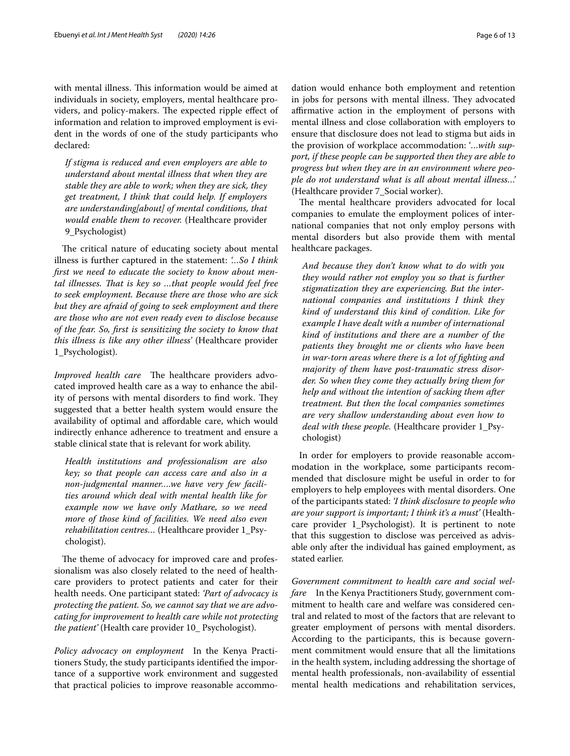with mental illness. This information would be aimed at individuals in society, employers, mental healthcare providers, and policy-makers. The expected ripple effect of information and relation to improved employment is evident in the words of one of the study participants who declared:

*If stigma is reduced and even employers are able to understand about mental illness that when they are stable they are able to work; when they are sick, they get treatment, I think that could help. If employers are understanding[about] of mental conditions, that would enable them to recover.* (Healthcare provider 9 Psychologist)

The critical nature of educating society about mental illness is further captured in the statement: *'…So I think frst we need to educate the society to know about mental illnesses. Tat is key so …that people would feel free to seek employment. Because there are those who are sick but they are afraid of going to seek employment and there are those who are not even ready even to disclose because of the fear. So, frst is sensitizing the society to know that this illness is like any other illness'* (Healthcare provider 1\_Psychologist).

*Improved health care* The healthcare providers advocated improved health care as a way to enhance the ability of persons with mental disorders to find work. They suggested that a better health system would ensure the availability of optimal and afordable care, which would indirectly enhance adherence to treatment and ensure a stable clinical state that is relevant for work ability.

*Health institutions and professionalism are also key; so that people can access care and also in a non*-*judgmental manner….we have very few facilities around which deal with mental health like for example now we have only Mathare, so we need more of those kind of facilities. We need also even rehabilitation centres…* (Healthcare provider 1\_Psychologist).

The theme of advocacy for improved care and professionalism was also closely related to the need of healthcare providers to protect patients and cater for their health needs. One participant stated: *'Part of advocacy is protecting the patient. So, we cannot say that we are advocating for improvement to health care while not protecting the patient'* (Health care provider 10\_ Psychologist).

*Policy advocacy on employment* In the Kenya Practitioners Study, the study participants identifed the importance of a supportive work environment and suggested that practical policies to improve reasonable accommodation would enhance both employment and retention in jobs for persons with mental illness. They advocated afrmative action in the employment of persons with mental illness and close collaboration with employers to ensure that disclosure does not lead to stigma but aids in the provision of workplace accommodation: '*…with support, if these people can be supported then they are able to progress but when they are in an environment where people do not understand what is all about mental illness…'* (Healthcare provider 7\_Social worker).

The mental healthcare providers advocated for local companies to emulate the employment polices of international companies that not only employ persons with mental disorders but also provide them with mental healthcare packages.

*And because they don't know what to do with you they would rather not employ you so that is further stigmatization they are experiencing. But the international companies and institutions I think they kind of understand this kind of condition. Like for example I have dealt with a number of international kind of institutions and there are a number of the patients they brought me or clients who have been in war*-*torn areas where there is a lot of fghting and majority of them have post*-*traumatic stress disorder. So when they come they actually bring them for help and without the intention of sacking them after treatment. But then the local companies sometimes are very shallow understanding about even how to deal with these people.* (Healthcare provider 1\_Psychologist)

In order for employers to provide reasonable accommodation in the workplace, some participants recommended that disclosure might be useful in order to for employers to help employees with mental disorders. One of the participants stated: *'I think disclosure to people who are your support is important; I think it's a must'* (Healthcare provider 1\_Psychologist). It is pertinent to note that this suggestion to disclose was perceived as advisable only after the individual has gained employment, as stated earlier.

*Government commitment to health care and social welfare* In the Kenya Practitioners Study, government commitment to health care and welfare was considered central and related to most of the factors that are relevant to greater employment of persons with mental disorders. According to the participants, this is because government commitment would ensure that all the limitations in the health system, including addressing the shortage of mental health professionals, non-availability of essential mental health medications and rehabilitation services,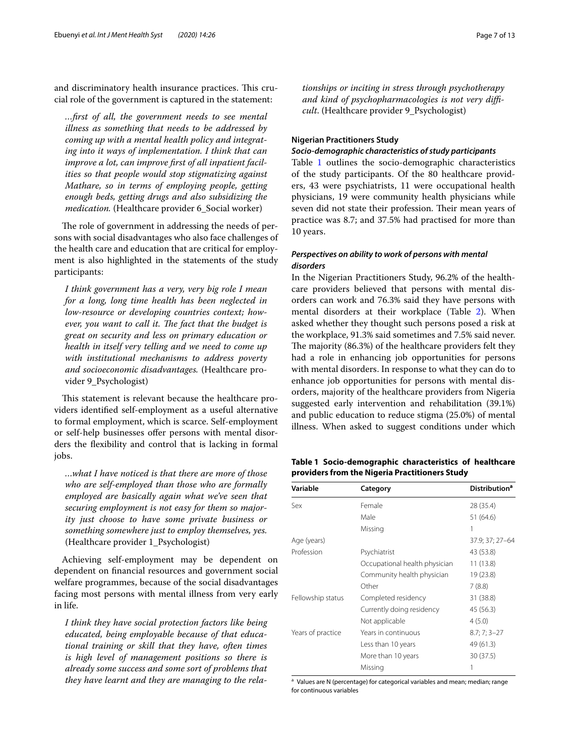and discriminatory health insurance practices. This crucial role of the government is captured in the statement:

*…frst of all, the government needs to see mental illness as something that needs to be addressed by coming up with a mental health policy and integrating into it ways of implementation. I think that can improve a lot, can improve frst of all inpatient facilities so that people would stop stigmatizing against Mathare, so in terms of employing people, getting enough beds, getting drugs and also subsidizing the medication.* (Healthcare provider 6\_Social worker)

The role of government in addressing the needs of persons with social disadvantages who also face challenges of the health care and education that are critical for employment is also highlighted in the statements of the study participants:

*I think government has a very, very big role I mean for a long, long time health has been neglected in low*-*resource or developing countries context; however, you want to call it. The fact that the budget is great on security and less on primary education or health in itself very telling and we need to come up with institutional mechanisms to address poverty and socioeconomic disadvantages.* (Healthcare provider 9\_Psychologist)

This statement is relevant because the healthcare providers identifed self-employment as a useful alternative to formal employment, which is scarce. Self-employment or self-help businesses offer persons with mental disorders the fexibility and control that is lacking in formal jobs.

*…what I have noticed is that there are more of those who are self*-*employed than those who are formally employed are basically again what we've seen that securing employment is not easy for them so majority just choose to have some private business or something somewhere just to employ themselves, yes.* (Healthcare provider 1\_Psychologist)

Achieving self-employment may be dependent on dependent on fnancial resources and government social welfare programmes, because of the social disadvantages facing most persons with mental illness from very early in life.

*I think they have social protection factors like being educated, being employable because of that educational training or skill that they have, often times is high level of management positions so there is already some success and some sort of problems that they have learnt and they are managing to the rela-* *tionships or inciting in stress through psychotherapy and kind of psychopharmacologies is not very difcult*. (Healthcare provider 9\_Psychologist)

### **Nigerian Practitioners Study**

### *Socio‑demographic characteristics of study participants*

Table [1](#page-6-0) outlines the socio-demographic characteristics of the study participants. Of the 80 healthcare providers, 43 were psychiatrists, 11 were occupational health physicians, 19 were community health physicians while seven did not state their profession. Their mean years of practice was 8.7; and 37.5% had practised for more than 10 years.

### *Perspectives on ability to work of persons with mental disorders*

In the Nigerian Practitioners Study, 96.2% of the healthcare providers believed that persons with mental disorders can work and 76.3% said they have persons with mental disorders at their workplace (Table [2\)](#page-7-0). When asked whether they thought such persons posed a risk at the workplace, 91.3% said sometimes and 7.5% said never. The majority (86.3%) of the healthcare providers felt they had a role in enhancing job opportunities for persons with mental disorders. In response to what they can do to enhance job opportunities for persons with mental disorders, majority of the healthcare providers from Nigeria suggested early intervention and rehabilitation (39.1%) and public education to reduce stigma (25.0%) of mental illness. When asked to suggest conditions under which

<span id="page-6-0"></span>

|                                                |  | Table 1 Socio-demographic characteristics of healthcare |  |  |  |  |  |  |
|------------------------------------------------|--|---------------------------------------------------------|--|--|--|--|--|--|
| providers from the Nigeria Practitioners Study |  |                                                         |  |  |  |  |  |  |

| Variable          | Category                      | <b>Distribution<sup>a</sup></b> |
|-------------------|-------------------------------|---------------------------------|
| Sex               | Female                        | 28 (35.4)                       |
|                   | Male                          | 51 (64.6)                       |
|                   | Missing                       | 1                               |
| Age (years)       |                               | 37.9; 37; 27-64                 |
| Profession        | Psychiatrist                  | 43 (53.8)                       |
|                   | Occupational health physician | 11 (13.8)                       |
|                   | Community health physician    | 19 (23.8)                       |
|                   | Other                         | 7(8.8)                          |
| Fellowship status | Completed residency           | 31 (38.8)                       |
|                   | Currently doing residency     | 45 (56.3)                       |
|                   | Not applicable                | 4(5.0)                          |
| Years of practice | Years in continuous           | $8.7; 7; 3 - 27$                |
|                   | Less than 10 years            | 49 (61.3)                       |
|                   | More than 10 years            | 30 (37.5)                       |
|                   | Missing                       |                                 |

<sup>a</sup> Values are N (percentage) for categorical variables and mean; median; range for continuous variables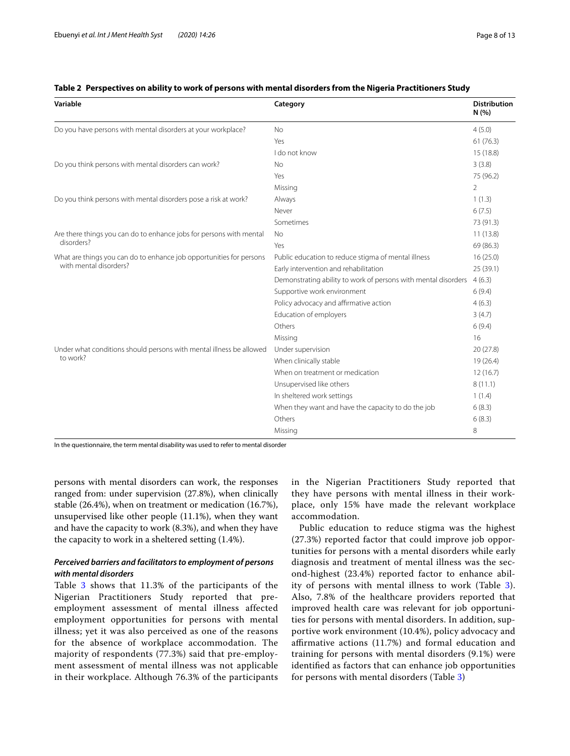| Variable                                                            | Category                                                                                                                                                                                                                                                                                                                                                                                                                                                                                                                                        | <b>Distribution</b><br>N(%) |
|---------------------------------------------------------------------|-------------------------------------------------------------------------------------------------------------------------------------------------------------------------------------------------------------------------------------------------------------------------------------------------------------------------------------------------------------------------------------------------------------------------------------------------------------------------------------------------------------------------------------------------|-----------------------------|
| Do you have persons with mental disorders at your workplace?        | <b>No</b>                                                                                                                                                                                                                                                                                                                                                                                                                                                                                                                                       | 4(5.0)                      |
|                                                                     | Yes                                                                                                                                                                                                                                                                                                                                                                                                                                                                                                                                             | 61(76.3)                    |
|                                                                     | I do not know<br><b>No</b><br>Yes<br>Missing<br>Always<br>Never<br>Sometimes<br><b>No</b><br>Yes<br>Public education to reduce stigma of mental illness<br>Early intervention and rehabilitation<br>Supportive work environment<br>Policy advocacy and affirmative action<br>Education of employers<br>Others<br>Missing<br>Under supervision<br>When clinically stable<br>When on treatment or medication<br>Unsupervised like others<br>In sheltered work settings<br>When they want and have the capacity to do the job<br>Others<br>Missing | 15 (18.8)                   |
| Do you think persons with mental disorders can work?                |                                                                                                                                                                                                                                                                                                                                                                                                                                                                                                                                                 | 3(3.8)                      |
|                                                                     |                                                                                                                                                                                                                                                                                                                                                                                                                                                                                                                                                 | 75 (96.2)                   |
|                                                                     |                                                                                                                                                                                                                                                                                                                                                                                                                                                                                                                                                 | $\overline{2}$              |
| Do you think persons with mental disorders pose a risk at work?     |                                                                                                                                                                                                                                                                                                                                                                                                                                                                                                                                                 | 1(1.3)                      |
|                                                                     |                                                                                                                                                                                                                                                                                                                                                                                                                                                                                                                                                 | 6(7.5)                      |
|                                                                     |                                                                                                                                                                                                                                                                                                                                                                                                                                                                                                                                                 | 73 (91.3)                   |
| Are there things you can do to enhance jobs for persons with mental |                                                                                                                                                                                                                                                                                                                                                                                                                                                                                                                                                 | 11(13.8)                    |
| disorders?                                                          |                                                                                                                                                                                                                                                                                                                                                                                                                                                                                                                                                 | 69 (86.3)                   |
| What are things you can do to enhance job opportunities for persons |                                                                                                                                                                                                                                                                                                                                                                                                                                                                                                                                                 | 16(25.0)                    |
| with mental disorders?                                              |                                                                                                                                                                                                                                                                                                                                                                                                                                                                                                                                                 | 25 (39.1)                   |
|                                                                     | Demonstrating ability to work of persons with mental disorders                                                                                                                                                                                                                                                                                                                                                                                                                                                                                  | 4(6.3)                      |
|                                                                     |                                                                                                                                                                                                                                                                                                                                                                                                                                                                                                                                                 | 6(9.4)                      |
|                                                                     |                                                                                                                                                                                                                                                                                                                                                                                                                                                                                                                                                 | 4(6.3)                      |
|                                                                     |                                                                                                                                                                                                                                                                                                                                                                                                                                                                                                                                                 | 3(4.7)                      |
|                                                                     |                                                                                                                                                                                                                                                                                                                                                                                                                                                                                                                                                 | 6(9.4)                      |
|                                                                     |                                                                                                                                                                                                                                                                                                                                                                                                                                                                                                                                                 | 16                          |
| Under what conditions should persons with mental illness be allowed |                                                                                                                                                                                                                                                                                                                                                                                                                                                                                                                                                 | 20 (27.8)                   |
| to work?                                                            |                                                                                                                                                                                                                                                                                                                                                                                                                                                                                                                                                 | 19 (26.4)                   |
|                                                                     |                                                                                                                                                                                                                                                                                                                                                                                                                                                                                                                                                 | 12(16.7)                    |
|                                                                     |                                                                                                                                                                                                                                                                                                                                                                                                                                                                                                                                                 | 8(11.1)                     |
|                                                                     |                                                                                                                                                                                                                                                                                                                                                                                                                                                                                                                                                 | 1(1.4)                      |
|                                                                     |                                                                                                                                                                                                                                                                                                                                                                                                                                                                                                                                                 | 6(8.3)                      |
|                                                                     |                                                                                                                                                                                                                                                                                                                                                                                                                                                                                                                                                 | 6(8.3)                      |
|                                                                     |                                                                                                                                                                                                                                                                                                                                                                                                                                                                                                                                                 | 8                           |

### <span id="page-7-0"></span>**Table 2 Perspectives on ability to work of persons with mental disorders from the Nigeria Practitioners Study**

In the questionnaire, the term mental disability was used to refer to mental disorder

persons with mental disorders can work, the responses ranged from: under supervision (27.8%), when clinically stable (26.4%), when on treatment or medication (16.7%), unsupervised like other people (11.1%), when they want and have the capacity to work (8.3%), and when they have the capacity to work in a sheltered setting (1.4%).

### *Perceived barriers and facilitators to employment of persons with mental disorders*

Table [3](#page-8-0) shows that 11.3% of the participants of the Nigerian Practitioners Study reported that preemployment assessment of mental illness affected employment opportunities for persons with mental illness; yet it was also perceived as one of the reasons for the absence of workplace accommodation. The majority of respondents (77.3%) said that pre-employment assessment of mental illness was not applicable in their workplace. Although 76.3% of the participants in the Nigerian Practitioners Study reported that they have persons with mental illness in their workplace, only 15% have made the relevant workplace accommodation.

Public education to reduce stigma was the highest (27.3%) reported factor that could improve job opportunities for persons with a mental disorders while early diagnosis and treatment of mental illness was the second-highest (23.4%) reported factor to enhance ability of persons with mental illness to work (Table [3](#page-8-0)). Also, 7.8% of the healthcare providers reported that improved health care was relevant for job opportunities for persons with mental disorders. In addition, supportive work environment (10.4%), policy advocacy and affirmative actions (11.7%) and formal education and training for persons with mental disorders (9.1%) were identifed as factors that can enhance job opportunities for persons with mental disorders (Table [3](#page-8-0))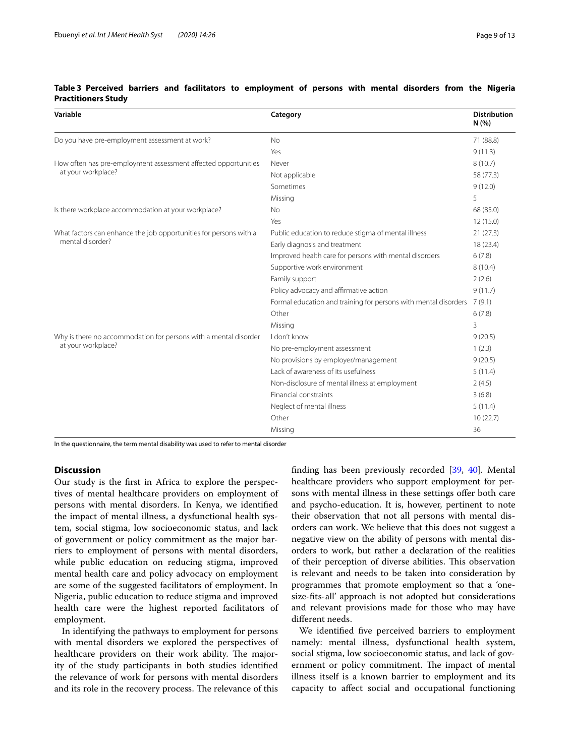| Variable                                                                                                  | Category                                               | <b>Distribution</b><br>N(% |
|-----------------------------------------------------------------------------------------------------------|--------------------------------------------------------|----------------------------|
| Do you have pre-employment assessment at work?                                                            | <b>No</b>                                              | 71 (88.8)                  |
|                                                                                                           | Yes                                                    | 9(11.3)                    |
| How often has pre-employment assessment affected opportunities                                            | Never                                                  | 8(10.7)                    |
| at your workplace?                                                                                        | Not applicable                                         | 58 (77.3)                  |
|                                                                                                           | Sometimes                                              | 9(12.0)                    |
|                                                                                                           | Missing                                                | 5                          |
| Is there workplace accommodation at your workplace?                                                       | No                                                     | 68 (85.0)                  |
|                                                                                                           | Yes                                                    | 12(15.0)                   |
| What factors can enhance the job opportunities for persons with a                                         | Public education to reduce stigma of mental illness    | 21(27.3)                   |
| mental disorder?<br>Early diagnosis and treatment                                                         | 18 (23.4)                                              |                            |
|                                                                                                           | Improved health care for persons with mental disorders | 6(7.8)                     |
|                                                                                                           | Supportive work environment                            | 8(10.4)                    |
|                                                                                                           | Family support                                         | 2(2.6)                     |
| Policy advocacy and affirmative action<br>Formal education and training for persons with mental disorders | 9(11.7)                                                |                            |
|                                                                                                           | 7(9.1)                                                 |                            |
|                                                                                                           | Other                                                  | 6(7.8)                     |
|                                                                                                           | Missing                                                | 3                          |
| Why is there no accommodation for persons with a mental disorder<br>I don't know                          |                                                        | 9(20.5)                    |
| at your workplace?<br>No pre-employment assessment<br>No provisions by employer/management                | 1(2.3)                                                 |                            |
|                                                                                                           |                                                        | 9(20.5)                    |
|                                                                                                           | Lack of awareness of its usefulness                    | 5(11.4)                    |
| Non-disclosure of mental illness at employment                                                            | 2(4.5)                                                 |                            |
| <b>Financial constraints</b><br>Neglect of mental illness<br>Other                                        |                                                        | 3(6.8)                     |
|                                                                                                           |                                                        | 5(11.4)                    |
|                                                                                                           |                                                        | 10(22.7)                   |
|                                                                                                           | Missing                                                | 36                         |

### <span id="page-8-0"></span>**Table 3 Perceived barriers and facilitators to employment of persons with mental disorders from the Nigeria Practitioners Study**

In the questionnaire, the term mental disability was used to refer to mental disorder

### **Discussion**

Our study is the frst in Africa to explore the perspectives of mental healthcare providers on employment of persons with mental disorders. In Kenya, we identifed the impact of mental illness, a dysfunctional health system, social stigma, low socioeconomic status, and lack of government or policy commitment as the major barriers to employment of persons with mental disorders, while public education on reducing stigma, improved mental health care and policy advocacy on employment are some of the suggested facilitators of employment. In Nigeria, public education to reduce stigma and improved health care were the highest reported facilitators of employment.

In identifying the pathways to employment for persons with mental disorders we explored the perspectives of healthcare providers on their work ability. The majority of the study participants in both studies identifed the relevance of work for persons with mental disorders and its role in the recovery process. The relevance of this fnding has been previously recorded [[39](#page-11-33), [40](#page-11-34)]. Mental healthcare providers who support employment for persons with mental illness in these settings offer both care and psycho-education. It is, however, pertinent to note their observation that not all persons with mental disorders can work. We believe that this does not suggest a negative view on the ability of persons with mental disorders to work, but rather a declaration of the realities of their perception of diverse abilities. This observation is relevant and needs to be taken into consideration by programmes that promote employment so that a 'onesize-fts-all' approach is not adopted but considerations and relevant provisions made for those who may have diferent needs.

We identifed fve perceived barriers to employment namely: mental illness, dysfunctional health system, social stigma, low socioeconomic status, and lack of government or policy commitment. The impact of mental illness itself is a known barrier to employment and its capacity to afect social and occupational functioning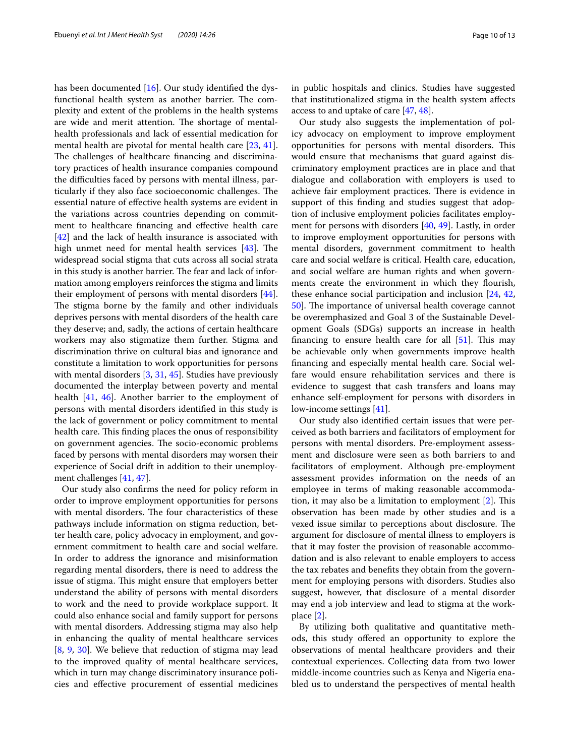has been documented [\[16](#page-11-10)]. Our study identifed the dysfunctional health system as another barrier. The complexity and extent of the problems in the health systems are wide and merit attention. The shortage of mentalhealth professionals and lack of essential medication for mental health are pivotal for mental health care [\[23](#page-11-17), [41](#page-11-35)]. The challenges of healthcare financing and discriminatory practices of health insurance companies compound the difficulties faced by persons with mental illness, particularly if they also face socioeconomic challenges. The essential nature of efective health systems are evident in the variations across countries depending on commitment to healthcare fnancing and efective health care [[42\]](#page-11-36) and the lack of health insurance is associated with high unmet need for mental health services  $[43]$  $[43]$ . The widespread social stigma that cuts across all social strata in this study is another barrier. The fear and lack of information among employers reinforces the stigma and limits their employment of persons with mental disorders [\[44](#page-11-38)]. The stigma borne by the family and other individuals deprives persons with mental disorders of the health care they deserve; and, sadly, the actions of certain healthcare workers may also stigmatize them further. Stigma and discrimination thrive on cultural bias and ignorance and constitute a limitation to work opportunities for persons with mental disorders [\[3](#page-10-2), [31,](#page-11-25) [45\]](#page-11-39). Studies have previously documented the interplay between poverty and mental health [[41,](#page-11-35) [46\]](#page-11-40). Another barrier to the employment of persons with mental disorders identifed in this study is the lack of government or policy commitment to mental health care. This finding places the onus of responsibility on government agencies. The socio-economic problems faced by persons with mental disorders may worsen their experience of Social drift in addition to their unemployment challenges [\[41,](#page-11-35) [47](#page-11-41)].

Our study also confrms the need for policy reform in order to improve employment opportunities for persons with mental disorders. The four characteristics of these pathways include information on stigma reduction, better health care, policy advocacy in employment, and government commitment to health care and social welfare. In order to address the ignorance and misinformation regarding mental disorders, there is need to address the issue of stigma. This might ensure that employers better understand the ability of persons with mental disorders to work and the need to provide workplace support. It could also enhance social and family support for persons with mental disorders. Addressing stigma may also help in enhancing the quality of mental healthcare services [[8,](#page-11-4) [9](#page-11-6), [30\]](#page-11-24). We believe that reduction of stigma may lead to the improved quality of mental healthcare services, which in turn may change discriminatory insurance policies and efective procurement of essential medicines in public hospitals and clinics. Studies have suggested that institutionalized stigma in the health system afects access to and uptake of care [\[47](#page-11-41), [48\]](#page-11-42).

Our study also suggests the implementation of policy advocacy on employment to improve employment opportunities for persons with mental disorders. This would ensure that mechanisms that guard against discriminatory employment practices are in place and that dialogue and collaboration with employers is used to achieve fair employment practices. There is evidence in support of this fnding and studies suggest that adoption of inclusive employment policies facilitates employment for persons with disorders [\[40](#page-11-34), [49](#page-11-43)]. Lastly, in order to improve employment opportunities for persons with mental disorders, government commitment to health care and social welfare is critical. Health care, education, and social welfare are human rights and when governments create the environment in which they flourish, these enhance social participation and inclusion [\[24](#page-11-18), [42](#page-11-36), [50\]](#page-12-0). The importance of universal health coverage cannot be overemphasized and Goal 3 of the Sustainable Development Goals (SDGs) supports an increase in health financing to ensure health care for all  $[51]$  $[51]$ . This may be achievable only when governments improve health fnancing and especially mental health care. Social welfare would ensure rehabilitation services and there is evidence to suggest that cash transfers and loans may enhance self-employment for persons with disorders in low-income settings [[41](#page-11-35)].

Our study also identifed certain issues that were perceived as both barriers and facilitators of employment for persons with mental disorders. Pre-employment assessment and disclosure were seen as both barriers to and facilitators of employment. Although pre-employment assessment provides information on the needs of an employee in terms of making reasonable accommodation, it may also be a limitation to employment  $[2]$  $[2]$ . This observation has been made by other studies and is a vexed issue similar to perceptions about disclosure. The argument for disclosure of mental illness to employers is that it may foster the provision of reasonable accommodation and is also relevant to enable employers to access the tax rebates and benefts they obtain from the government for employing persons with disorders. Studies also suggest, however, that disclosure of a mental disorder may end a job interview and lead to stigma at the workplace [\[2](#page-10-1)].

By utilizing both qualitative and quantitative methods, this study ofered an opportunity to explore the observations of mental healthcare providers and their contextual experiences. Collecting data from two lower middle-income countries such as Kenya and Nigeria enabled us to understand the perspectives of mental health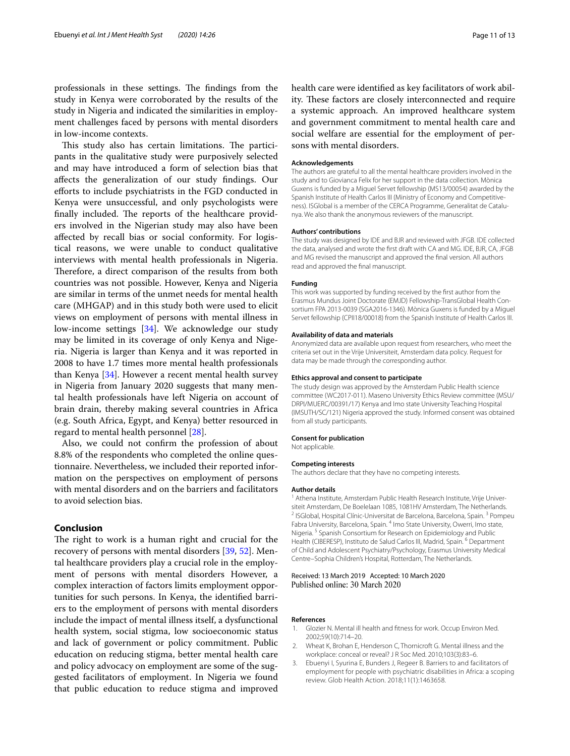professionals in these settings. The findings from the study in Kenya were corroborated by the results of the study in Nigeria and indicated the similarities in employment challenges faced by persons with mental disorders in low-income contexts.

This study also has certain limitations. The participants in the qualitative study were purposively selected and may have introduced a form of selection bias that afects the generalization of our study fndings. Our efforts to include psychiatrists in the FGD conducted in Kenya were unsuccessful, and only psychologists were finally included. The reports of the healthcare providers involved in the Nigerian study may also have been afected by recall bias or social conformity. For logistical reasons, we were unable to conduct qualitative interviews with mental health professionals in Nigeria. Therefore, a direct comparison of the results from both countries was not possible. However, Kenya and Nigeria are similar in terms of the unmet needs for mental health care (MHGAP) and in this study both were used to elicit views on employment of persons with mental illness in low-income settings [[34\]](#page-11-28). We acknowledge our study may be limited in its coverage of only Kenya and Nigeria. Nigeria is larger than Kenya and it was reported in 2008 to have 1.7 times more mental health professionals than Kenya [[34\]](#page-11-28). However a recent mental health survey in Nigeria from January 2020 suggests that many mental health professionals have left Nigeria on account of brain drain, thereby making several countries in Africa (e.g. South Africa, Egypt, and Kenya) better resourced in regard to mental health personnel [[28](#page-11-22)].

Also, we could not confrm the profession of about 8.8% of the respondents who completed the online questionnaire. Nevertheless, we included their reported information on the perspectives on employment of persons with mental disorders and on the barriers and facilitators to avoid selection bias.

### **Conclusion**

The right to work is a human right and crucial for the recovery of persons with mental disorders [\[39](#page-11-33), [52\]](#page-12-2). Mental healthcare providers play a crucial role in the employment of persons with mental disorders However, a complex interaction of factors limits employment opportunities for such persons. In Kenya, the identifed barriers to the employment of persons with mental disorders include the impact of mental illness itself, a dysfunctional health system, social stigma, low socioeconomic status and lack of government or policy commitment. Public education on reducing stigma, better mental health care and policy advocacy on employment are some of the suggested facilitators of employment. In Nigeria we found that public education to reduce stigma and improved health care were identifed as key facilitators of work ability. These factors are closely interconnected and require a systemic approach. An improved healthcare system and government commitment to mental health care and social welfare are essential for the employment of persons with mental disorders.

#### **Acknowledgements**

The authors are grateful to all the mental healthcare providers involved in the study and to Giovianca Felix for her support in the data collection. Mònica Guxens is funded by a Miguel Servet fellowship (MS13/00054) awarded by the Spanish Institute of Health Carlos III (Ministry of Economy and Competitiveness). ISGlobal is a member of the CERCA Programme, Generalitat de Catalunya. We also thank the anonymous reviewers of the manuscript.

#### **Authors' contributions**

The study was designed by IDE and BJR and reviewed with JFGB. IDE collected the data, analysed and wrote the frst draft with CA and MG. IDE, BJR, CA, JFGB and MG revised the manuscript and approved the fnal version. All authors read and approved the fnal manuscript.

#### **Funding**

This work was supported by funding received by the frst author from the Erasmus Mundus Joint Doctorate (EMJD) Fellowship-TransGlobal Health Con‑ sortium FPA 2013-0039 (SGA2016-1346). Mònica Guxens is funded by a Miguel Servet fellowship (CPII18/00018) from the Spanish Institute of Health Carlos III.

#### **Availability of data and materials**

Anonymized data are available upon request from researchers, who meet the criteria set out in the Vrije Universiteit, Amsterdam data policy. Request for data may be made through the corresponding author.

#### **Ethics approval and consent to participate**

The study design was approved by the Amsterdam Public Health science committee (WC2017-011). Maseno University Ethics Review committee (MSU/ DRPI/MUERC/00391/17) Kenya and Imo state University Teaching Hospital (IMSUTH/SC/121) Nigeria approved the study. Informed consent was obtained from all study participants.

#### **Consent for publication**

Not applicable.

#### **Competing interests**

The authors declare that they have no competing interests.

#### **Author details**

<sup>1</sup> Athena Institute, Amsterdam Public Health Research Institute, Vrije Universiteit Amsterdam, De Boelelaan 1085, 1081HV Amsterdam, The Netherlands.<br><sup>2</sup> ISGlobal, Hospital Clínic-Universitat de Barcelona, Barcelona, Spain. <sup>3</sup> Pompeu Fabra University, Barcelona, Spain. <sup>4</sup> Imo State University, Owerri, Imo state, Nigeria.<sup>5</sup> Spanish Consortium for Research on Epidemiology and Public Health (CIBERESP), Instituto de Salud Carlos III, Madrid, Spain. <sup>6</sup> Department of Child and Adolescent Psychiatry/Psychology, Erasmus University Medical Centre–Sophia Children's Hospital, Rotterdam, The Netherlands.

#### Received: 13 March 2019 Accepted: 10 March 2020 Published online: 30 March 2020

#### **References**

- <span id="page-10-0"></span>1. Glozier N. Mental ill health and ftness for work. Occup Environ Med. 2002;59(10):714–20.
- <span id="page-10-1"></span>2. Wheat K, Brohan E, Henderson C, Thornicroft G. Mental illness and the workplace: conceal or reveal? J R Soc Med. 2010;103(3):83–6.
- <span id="page-10-2"></span>3. Ebuenyi I, Syurina E, Bunders J, Regeer B. Barriers to and facilitators of employment for people with psychiatric disabilities in Africa: a scoping review. Glob Health Action. 2018;11(1):1463658.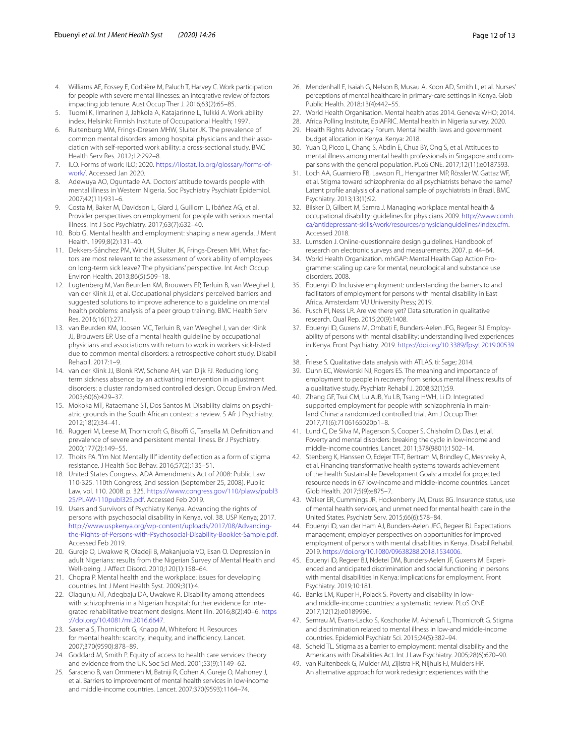- <span id="page-11-0"></span>4. Williams AE, Fossey E, Corbière M, Paluch T, Harvey C. Work participation for people with severe mental illnesses: an integrative review of factors impacting job tenure. Aust Occup Ther J. 2016;63(2):65–85.
- <span id="page-11-1"></span>5. Tuomi K, Ilmarinen J, Jahkola A, Katajarinne L, Tulkki A. Work ability index. Helsinki: Finnish Institute of Occupational Health; 1997.
- <span id="page-11-2"></span>6. Ruitenburg MM, Frings-Dresen MHW, Sluiter JK. The prevalence of common mental disorders among hospital physicians and their association with self-reported work ability: a cross-sectional study. BMC Health Serv Res. 2012;12:292–8.
- <span id="page-11-3"></span>7. ILO. Forms of work: ILO; 2020. [https://ilostat.ilo.org/glossary/forms-of](https://ilostat.ilo.org/glossary/forms-of-work/)[work/.](https://ilostat.ilo.org/glossary/forms-of-work/) Accessed Jan 2020.
- <span id="page-11-4"></span>8. Adewuya AO, Oguntade AA. Doctors' attitude towards people with mental illness in Western Nigeria. Soc Psychiatry Psychiatr Epidemiol. 2007;42(11):931–6.
- <span id="page-11-6"></span>9. Costa M, Baker M, Davidson L, Giard J, Guillorn L, Ibáñez AG, et al. Provider perspectives on employment for people with serious mental illness. Int J Soc Psychiatry. 2017;63(7):632–40.
- <span id="page-11-5"></span>10. Bob G. Mental health and employment: shaping a new agenda. J Ment Health. 1999;8(2):131–40.
- <span id="page-11-7"></span>11. Dekkers-Sánchez PM, Wind H, Sluiter JK, Frings-Dresen MH. What factors are most relevant to the assessment of work ability of employees on long-term sick leave? The physicians' perspective. Int Arch Occup Environ Health. 2013;86(5):509–18.
- <span id="page-11-8"></span>12. Lugtenberg M, Van Beurden KM, Brouwers EP, Terluin B, van Weeghel J, van der Klink JJ, et al. Occupational physicians' perceived barriers and suggested solutions to improve adherence to a guideline on mental health problems: analysis of a peer group training. BMC Health Serv Res. 2016;16(1):271.
- 13. van Beurden KM, Joosen MC, Terluin B, van Weeghel J, van der Klink JJ, Brouwers EP. Use of a mental health guideline by occupational physicians and associations with return to work in workers sick-listed due to common mental disorders: a retrospective cohort study. Disabil Rehabil. 2017:1–9.
- 14. van der Klink JJ, Blonk RW, Schene AH, van Dijk FJ. Reducing long term sickness absence by an activating intervention in adjustment disorders: a cluster randomised controlled design. Occup Environ Med. 2003;60(6):429–37.
- <span id="page-11-9"></span>15. Mokoka MT, Rataemane ST, Dos Santos M. Disability claims on psychiatric grounds in the South African context: a review. S Afr J Psychiatry. 2012;18(2):34–41.
- <span id="page-11-10"></span>16. Ruggeri M, Leese M, Thornicroft G, Bisoffi G, Tansella M. Definition and prevalence of severe and persistent mental illness. Br J Psychiatry. 2000;177(2):149–55.
- <span id="page-11-11"></span>17. Thoits PA. "I'm Not Mentally Ill" identity defection as a form of stigma resistance. J Health Soc Behav. 2016;57(2):135–51.
- <span id="page-11-12"></span>18. United States Congress. ADA Amendments Act of 2008: Public Law 110-325. 110th Congress, 2nd session (September 25, 2008). Public Law, vol. 110. 2008. p. 325. [https://www.congress.gov/110/plaws/publ3](https://www.congress.gov/110/plaws/publ325/PLAW-110publ325.pdf) [25/PLAW-110publ325.pdf](https://www.congress.gov/110/plaws/publ325/PLAW-110publ325.pdf). Accessed Feb 2019.
- <span id="page-11-13"></span>19. Users and Survivors of Psychiatry Kenya. Advancing the rights of persons with psychosocial disability in Kenya, vol. 38. USP Kenya; 2017. [http://www.uspkenya.org/wp-content/uploads/2017/08/Advancing](http://www.uspkenya.org/wp-content/uploads/2017/08/Advancing-the-Rights-of-Persons-with-Psychosocial-Disability-Booklet-Sample.pdf)[the-Rights-of-Persons-with-Psychosocial-Disability-Booklet-Sample.pdf](http://www.uspkenya.org/wp-content/uploads/2017/08/Advancing-the-Rights-of-Persons-with-Psychosocial-Disability-Booklet-Sample.pdf). Accessed Feb 2019.
- <span id="page-11-14"></span>20. Gureje O, Uwakwe R, Oladeji B, Makanjuola VO, Esan O. Depression in adult Nigerians: results from the Nigerian Survey of Mental Health and Well-being. J Afect Disord. 2010;120(1):158–64.
- <span id="page-11-15"></span>21. Chopra P. Mental health and the workplace: issues for developing countries. Int J Ment Health Syst. 2009;3(1):4.
- <span id="page-11-16"></span>22. Olagunju AT, Adegbaju DA, Uwakwe R. Disability among attendees with schizophrenia in a Nigerian hospital: further evidence for integrated rehabilitative treatment designs. Ment Illn. 2016;8(2):40–6. [https](https://doi.org/10.4081/mi.2016.6647) [://doi.org/10.4081/mi.2016.6647.](https://doi.org/10.4081/mi.2016.6647)
- <span id="page-11-17"></span>23. Saxena S, Thornicroft G, Knapp M, Whiteford H. Resources for mental health: scarcity, inequity, and inefficiency. Lancet. 2007;370(9590):878–89.
- <span id="page-11-18"></span>24. Goddard M, Smith P. Equity of access to health care services: theory and evidence from the UK. Soc Sci Med. 2001;53(9):1149–62.
- <span id="page-11-19"></span>25. Saraceno B, van Ommeren M, Batniji R, Cohen A, Gureje O, Mahoney J, et al. Barriers to improvement of mental health services in low-income and middle-income countries. Lancet. 2007;370(9593):1164–74.
- <span id="page-11-20"></span>26. Mendenhall E, Isaiah G, Nelson B, Musau A, Koon AD, Smith L, et al. Nurses' perceptions of mental healthcare in primary-care settings in Kenya. Glob Public Health. 2018;13(4):442–55.
- <span id="page-11-21"></span>27. World Health Organisation. Mental health atlas 2014. Geneva: WHO; 2014.
- <span id="page-11-22"></span>28. Africa Polling Institute, EpiAFRIC. Mental health in Nigeria survey. 2020.
- <span id="page-11-23"></span>29. Health Rights Advocacy Forum. Mental health: laws and government budget allocation in Kenya. Kenya: 2018.
- <span id="page-11-24"></span>30. Yuan Q, Picco L, Chang S, Abdin E, Chua BY, Ong S, et al. Attitudes to mental illness among mental health professionals in Singapore and comparisons with the general population. PLoS ONE. 2017;12(11):e0187593.
- <span id="page-11-25"></span>31. Loch AA, Guarniero FB, Lawson FL, Hengartner MP, Rössler W, Gattaz WF, et al. Stigma toward schizophrenia: do all psychiatrists behave the same? Latent profle analysis of a national sample of psychiatrists in Brazil. BMC Psychiatry. 2013;13(1):92.
- <span id="page-11-26"></span>32. Bilsker D, Gilbert M, Samra J. Managing workplace mental health & occupational disability: guidelines for physicians 2009. [http://www.comh.](http://www.comh.ca/antidepressant-skills/work/resources/physicianguidelines/index.cfm) [ca/antidepressant-skills/work/resources/physicianguidelines/index.cfm](http://www.comh.ca/antidepressant-skills/work/resources/physicianguidelines/index.cfm). Accessed 2018.
- <span id="page-11-27"></span>33. Lumsden J. Online-questionnaire design guidelines. Handbook of research on electronic surveys and measurements. 2007. p. 44–64.
- <span id="page-11-28"></span>34. World Health Organization. mhGAP: Mental Health Gap Action Programme: scaling up care for mental, neurological and substance use disorders. 2008.
- <span id="page-11-29"></span>35. Ebuenyi ID. Inclusive employment: understanding the barriers to and facilitators of employment for persons with mental disability in East Africa. Amsterdam: VU University Press; 2019.
- <span id="page-11-30"></span>36. Fusch PI, Ness LR. Are we there yet? Data saturation in qualitative research. Qual Rep. 2015;20(9):1408.
- <span id="page-11-31"></span>37. Ebuenyi ID, Guxens M, Ombati E, Bunders-Aelen JFG, Regeer BJ. Employability of persons with mental disability: understanding lived experiences in Kenya. Front Psychiatry. 2019. <https://doi.org/10.3389/fpsyt.2019.00539>
- <span id="page-11-32"></span>38. Friese S. Qualitative data analysis with ATLAS. ti: Sage; 2014.

.

- <span id="page-11-33"></span>39. Dunn EC, Wewiorski NJ, Rogers ES. The meaning and importance of employment to people in recovery from serious mental illness: results of a qualitative study. Psychiatr Rehabil J. 2008;32(1):59.
- <span id="page-11-34"></span>40. Zhang GF, Tsui CM, Lu AJB, Yu LB, Tsang HWH, Li D. Integrated supported employment for people with schizophrenia in mainland China: a randomized controlled trial. Am J Occup Ther. 2017;71(6):7106165020p1–8.
- <span id="page-11-35"></span>41. Lund C, De Silva M, Plagerson S, Cooper S, Chisholm D, Das J, et al. Poverty and mental disorders: breaking the cycle in low-income and middle-income countries. Lancet. 2011;378(9801):1502–14.
- <span id="page-11-36"></span>42. Stenberg K, Hanssen O, Edejer TT-T, Bertram M, Brindley C, Meshreky A, et al. Financing transformative health systems towards achievement of the health Sustainable Development Goals: a model for projected resource needs in 67 low-income and middle-income countries. Lancet Glob Health. 2017;5(9):e875–7.
- <span id="page-11-37"></span>43. Walker ER, Cummings JR, Hockenberry JM, Druss BG. Insurance status, use of mental health services, and unmet need for mental health care in the United States. Psychiatr Serv. 2015;66(6):578–84.
- <span id="page-11-38"></span>44. Ebuenyi ID, van der Ham AJ, Bunders-Aelen JFG, Regeer BJ. Expectations management; employer perspectives on opportunities for improved employment of persons with mental disabilities in Kenya. Disabil Rehabil. 2019.<https://doi.org/10.1080/09638288.2018.1534006>.
- <span id="page-11-39"></span>45. Ebuenyi ID, Regeer BJ, Ndetei DM, Bunders-Aelen JF, Guxens M. Experienced and anticipated discrimination and social functioning in persons with mental disabilities in Kenya: implications for employment. Front Psychiatry. 2019;10:181.
- <span id="page-11-40"></span>46. Banks LM, Kuper H, Polack S. Poverty and disability in lowand middle-income countries: a systematic review. PLoS ONE. 2017;12(12):e0189996.
- <span id="page-11-41"></span>47. Semrau M, Evans-Lacko S, Koschorke M, Ashenaf L, Thornicroft G. Stigma and discrimination related to mental illness in low-and middle-income countries. Epidemiol Psychiatr Sci. 2015;24(5):382–94.
- <span id="page-11-42"></span>48. Scheid TL. Stigma as a barrier to employment: mental disability and the Americans with Disabilities Act. Int J Law Psychiatry. 2005;28(6):670–90.
- <span id="page-11-43"></span>49. van Ruitenbeek G, Mulder MJ, Zijlstra FR, Nijhuis FJ, Mulders HP. An alternative approach for work redesign: experiences with the